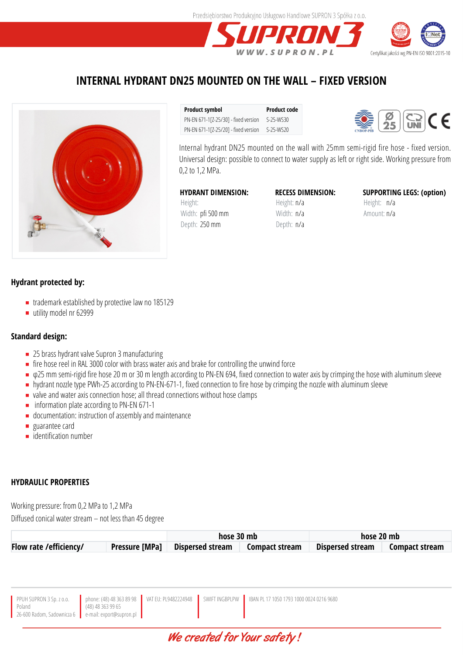



## **INTERNAL HYDRANT DN25 MOUNTED ON THE WALL – FIXED VERSION**



**Product symbol Product code** PN-EN 671-1[Z-25/30] - fixed version S-25-WS30 PN-EN 671-1[Z-25/20] - fixed version S-25-WS20



Internal hydrant DN25 mounted on the wall with 25mm semi-rigid fire hose - fixed version. Universal design: possible to connect to water supply as left or right side. Working pressure from 0,2 to 1,2 MPa.

**HYDRANT DIMENSION:** Height: Width: pfi 500 mm Depth: 250 mm

**RECESS DIMENSION:** Height: n/a Width: n/a Depth: n/a

**SUPPORTING LEGS: (option)** Height: n/a Amount: n/a

## **Hydrant protected by:**

- trademark established by protective law no 185129
- utility model nr 62999

## **Standard design:**

- 25 brass hydrant valve Supron 3 manufacturing
- $\blacksquare$  fire hose reel in RAL 3000 color with brass water axis and brake for controlling the unwind force
- φ25 mm semi-rigid fire hose 20 m or 30 m length according to PN-EN 694, fixed connection to water axis by crimping the hose with aluminum sleeve
- hydrant nozzle type PWh-25 according to PN-EN-671-1, fixed connection to fire hose by crimping the nozzle with aluminum sleeve
- valve and water axis connection hose; all thread connections without hose clamps
- $\blacksquare$  information plate according to PN-EN 671-1
- documentation: instruction of assembly and maintenance
- **guarantee card**
- **identification number**

## **HYDRAULIC PROPERTIES**

Working pressure: from 0,2 MPa to 1,2 MPa Diffused conical water stream – not less than 45 degree

|                         |                       | hose 30 mb              |                       | hose 20 mb       |                       |
|-------------------------|-----------------------|-------------------------|-----------------------|------------------|-----------------------|
| Flow rate / efficiency/ | <b>Pressure [MPa]</b> | <b>Dispersed stream</b> | <b>Compact stream</b> | Dispersed stream | <b>Compact stream</b> |

| PPUH SUPRON 3 Sp. z o.o.<br>Poland<br>$(48)$ 48 363 99 65<br>26-600 Radom, Sadownicza 6 e-mail: export@supron.pl |  |  | phone: (48) 48 363 89 98   VAT EU: PL9482224948   SWIFT INGBPLPW   IBAN PL 17 1050 1793 1000 0024 0216 9680 |
|------------------------------------------------------------------------------------------------------------------|--|--|-------------------------------------------------------------------------------------------------------------|
|------------------------------------------------------------------------------------------------------------------|--|--|-------------------------------------------------------------------------------------------------------------|

## We created for Your safety!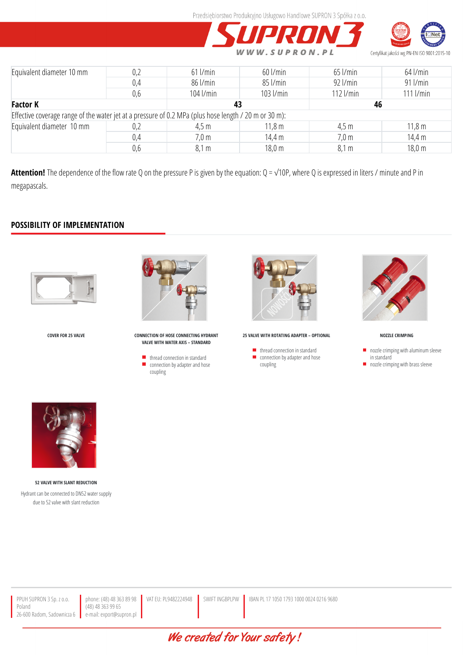



| Equivalent diameter 10 mm                                                                             | 0,2 | $61$ $l/min$    | $60$ $l/min$      | $65$ $l/min$    | $64$ $l$ /min    |  |  |  |  |
|-------------------------------------------------------------------------------------------------------|-----|-----------------|-------------------|-----------------|------------------|--|--|--|--|
|                                                                                                       | 0,4 | 86 l/min        | 85 l/min          | $92$ $l/min$    | $91$ $l/min$     |  |  |  |  |
|                                                                                                       | 0,6 | $104$ $l/min$   | 103 l/min         | $112$ $l/min$   | $111$ $l/min$    |  |  |  |  |
| <b>Factor K</b>                                                                                       |     | 43              |                   | 46              |                  |  |  |  |  |
| Effective coverage range of the water jet at a pressure of 0.2 MPa (plus hose length / 20 m or 30 m): |     |                 |                   |                 |                  |  |  |  |  |
| Equivalent diameter 10 mm                                                                             | 0,2 | 4,5 m           | 11.8 <sub>m</sub> | 4,5 m           | 11,8m            |  |  |  |  |
|                                                                                                       | 0,4 | $7,0 \text{ m}$ | 14,4 m            | $7,0 \text{ m}$ | 14,4 m           |  |  |  |  |
|                                                                                                       | 0,6 | 8,1 m           | $18,0 \text{ m}$  | 8,1 m           | $18,0 \text{ m}$ |  |  |  |  |

**Attention!** The dependence of the flow rate Q on the pressure P is given by the equation: Q = √10P, where Q is expressed in liters / minute and P in megapascals.

## **POSSIBILITY OF IMPLEMENTATION**





**COVER FOR 25 VALVE CONNECTION OF HOSE CONNECTING HYDRANT VALVE WITH WATER AXIS – STANDARD**

> thread connection in standard connection by adapter and hose coupling



**25 VALVE WITH ROTATING ADAPTER – OPTIONAL**

 $\blacksquare$  thread connection in standard connection by adapter and hose coupling



**NOZZLE CRIMPING**

- nozzle crimping with aluminum sleeve  $\blacksquare$ in standard
- nozzle crimping with brass sleeve



**52 VALVE WITH SLANT REDUCTION** Hydrant can be connected to DN52 water supply due to 52 valve with slant reduction

phone: (48) 48 363 89 98 (48) 48 363 99 65 e-mail: export@supron.pl

We created for Your safety!

VAT EU: PL9482224948 | SWIFT INGBPLPW | IBAN PL 17 1050 1793 1000 0024 0216 9680